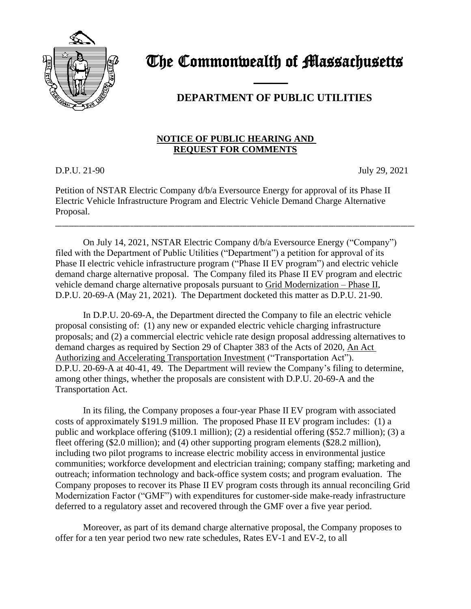

The Commonwealth of Massachusetts

## **DEPARTMENT OF PUBLIC UTILITIES**

## **NOTICE OF PUBLIC HEARING AND REQUEST FOR COMMENTS**

D.P.U. 21-90 July 29, 2021

Petition of NSTAR Electric Company d/b/a Eversource Energy for approval of its Phase II Electric Vehicle Infrastructure Program and Electric Vehicle Demand Charge Alternative Proposal.

\_\_\_\_\_\_\_\_\_\_\_\_\_\_\_\_\_\_\_\_\_\_\_\_\_\_\_\_\_\_\_\_\_\_\_\_\_\_\_\_\_\_\_\_\_\_\_\_\_\_\_\_\_\_\_\_\_\_\_\_\_\_\_\_\_\_\_\_\_\_\_\_\_\_\_\_\_\_\_\_\_\_\_\_\_\_\_\_\_\_\_\_\_\_\_\_\_\_\_\_\_\_\_\_\_

and the contract of the contract of

On July 14, 2021, NSTAR Electric Company d/b/a Eversource Energy ("Company") filed with the Department of Public Utilities ("Department") a petition for approval of its Phase II electric vehicle infrastructure program ("Phase II EV program") and electric vehicle demand charge alternative proposal. The Company filed its Phase II EV program and electric vehicle demand charge alternative proposals pursuant to Grid Modernization – Phase II, D.P.U. 20-69-A (May 21, 2021). The Department docketed this matter as D.P.U. 21-90.

In D.P.U. 20-69-A, the Department directed the Company to file an electric vehicle proposal consisting of: (1) any new or expanded electric vehicle charging infrastructure proposals; and (2) a commercial electric vehicle rate design proposal addressing alternatives to demand charges as required by Section 29 of Chapter 383 of the Acts of 2020, An Act Authorizing and Accelerating Transportation Investment ("Transportation Act"). D.P.U. 20-69-A at 40-41, 49. The Department will review the Company's filing to determine, among other things, whether the proposals are consistent with D.P.U. 20-69-A and the Transportation Act.

In its filing, the Company proposes a four-year Phase II EV program with associated costs of approximately \$191.9 million. The proposed Phase II EV program includes: (1) a public and workplace offering (\$109.1 million); (2) a residential offering (\$52.7 million); (3) a fleet offering (\$2.0 million); and (4) other supporting program elements (\$28.2 million), including two pilot programs to increase electric mobility access in environmental justice communities; workforce development and electrician training; company staffing; marketing and outreach; information technology and back-office system costs; and program evaluation. The Company proposes to recover its Phase II EV program costs through its annual reconciling Grid Modernization Factor ("GMF") with expenditures for customer-side make-ready infrastructure deferred to a regulatory asset and recovered through the GMF over a five year period.

Moreover, as part of its demand charge alternative proposal, the Company proposes to offer for a ten year period two new rate schedules, Rates EV-1 and EV-2, to all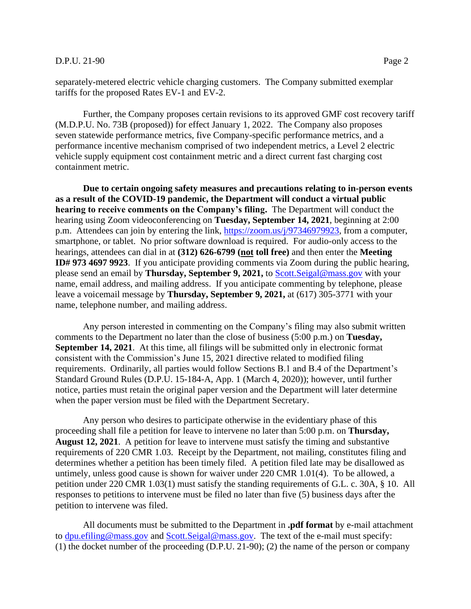## D.P.U. 21-90 Page 2

separately-metered electric vehicle charging customers. The Company submitted exemplar tariffs for the proposed Rates EV-1 and EV-2.

Further, the Company proposes certain revisions to its approved GMF cost recovery tariff (M.D.P.U. No. 73B (proposed)) for effect January 1, 2022. The Company also proposes seven statewide performance metrics, five Company-specific performance metrics, and a performance incentive mechanism comprised of two independent metrics, a Level 2 electric vehicle supply equipment cost containment metric and a direct current fast charging cost containment metric.

**Due to certain ongoing safety measures and precautions relating to in-person events as a result of the COVID-19 pandemic, the Department will conduct a virtual public hearing to receive comments on the Company's filing.** The Department will conduct the hearing using Zoom videoconferencing on **Tuesday, September 14, 2021**, beginning at 2:00 p.m. Attendees can join by entering the link, [https://zoom.us/j/97346979923,](https://zoom.us/j/97346979923) from a computer, smartphone, or tablet. No prior software download is required. For audio-only access to the hearings, attendees can dial in at **(312) 626-6799 (not toll free)** and then enter the **Meeting ID# 973 4697 9923**. If you anticipate providing comments via Zoom during the public hearing, please send an email by **Thursday, September 9, 2021,** to [Scott.Seigal@mass.gov](mailto:Scott.Seigal@mass.gov) with your name, email address, and mailing address. If you anticipate commenting by telephone, please leave a voicemail message by **Thursday, September 9, 2021,** at (617) 305-3771 with your name, telephone number, and mailing address.

Any person interested in commenting on the Company's filing may also submit written comments to the Department no later than the close of business (5:00 p.m.) on **Tuesday, September 14, 2021**. At this time, all filings will be submitted only in electronic format consistent with the Commission's June 15, 2021 directive related to modified filing requirements. Ordinarily, all parties would follow Sections B.1 and B.4 of the Department's Standard Ground Rules (D.P.U. 15-184-A, App. 1 (March 4, 2020)); however, until further notice, parties must retain the original paper version and the Department will later determine when the paper version must be filed with the Department Secretary.

Any person who desires to participate otherwise in the evidentiary phase of this proceeding shall file a petition for leave to intervene no later than 5:00 p.m. on **Thursday, August 12, 2021**. A petition for leave to intervene must satisfy the timing and substantive requirements of 220 CMR 1.03. Receipt by the Department, not mailing, constitutes filing and determines whether a petition has been timely filed. A petition filed late may be disallowed as untimely, unless good cause is shown for waiver under 220 CMR 1.01(4). To be allowed, a petition under 220 CMR 1.03(1) must satisfy the standing requirements of G.L. c. 30A, § 10. All responses to petitions to intervene must be filed no later than five (5) business days after the petition to intervene was filed.

All documents must be submitted to the Department in **.pdf format** by e-mail attachment to [dpu.efiling@mass.gov](mailto:dpu.efiling@mass.gov) and [Scott.Seigal@mass.gov.](mailto:Scott.Seigal@mass.gov) The text of the e-mail must specify: (1) the docket number of the proceeding (D.P.U. 21-90); (2) the name of the person or company